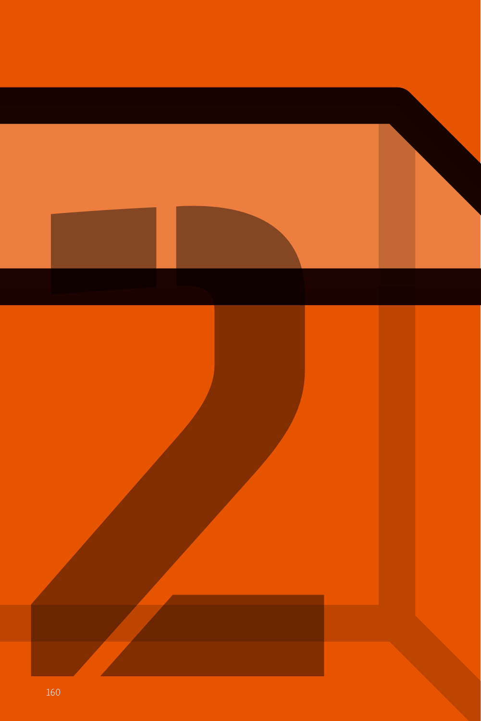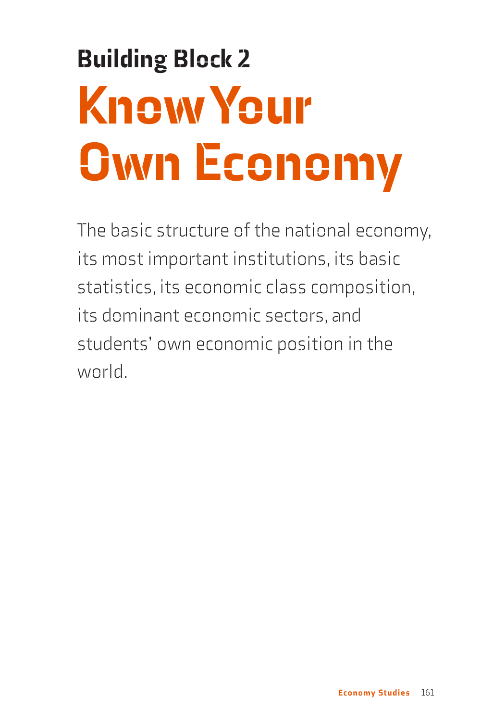# Building Block 2 Know Your Own Economy

The basic structure of the national economy, its most important institutions, its basic statistics, its economic class composition, its dominant economic sectors, and students' own economic position in the world.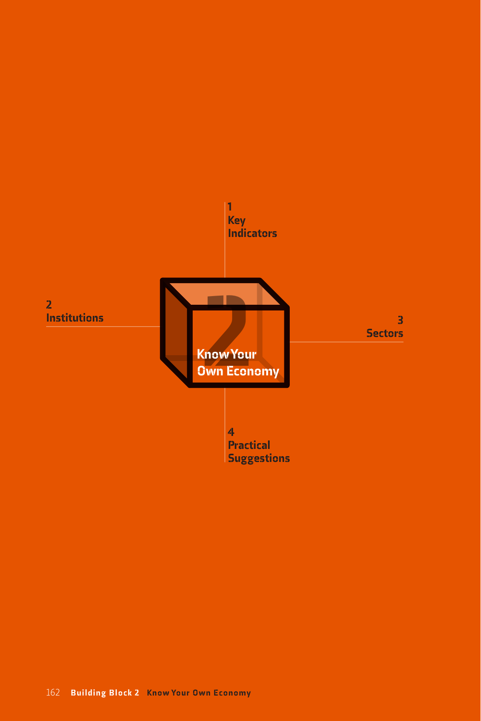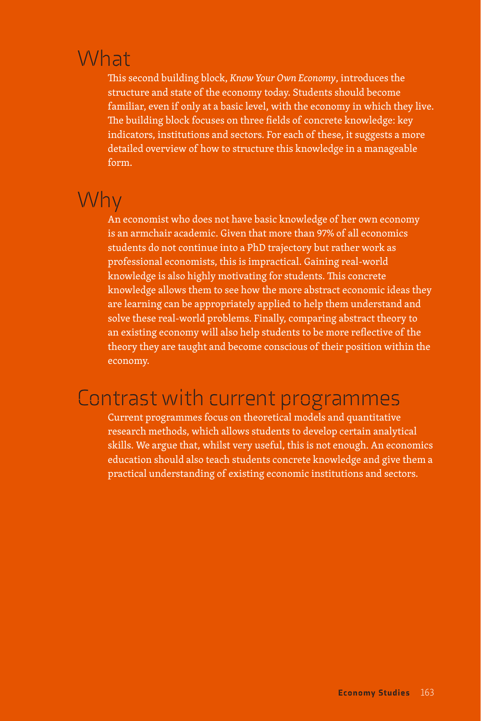## What

This second building block, *Know Your Own Economy*, introduces the structure and state of the economy today. Students should become familiar, even if only at a basic level, with the economy in which they live. The building block focuses on three fields of concrete knowledge: key indicators, institutions and sectors. For each of these, it suggests a more detailed overview of how to structure this knowledge in a manageable form.

# Why

An economist who does not have basic knowledge of her own economy is an armchair academic. Given that more than 97% of all economics students do not continue into a PhD trajectory but rather work as professional economists, this is impractical. Gaining real-world knowledge is also highly motivating for students. This concrete knowledge allows them to see how the more abstract economic ideas they are learning can be appropriately applied to help them understand and solve these real-world problems. Finally, comparing abstract theory to an existing economy will also help students to be more reflective of the theory they are taught and become conscious of their position within the economy.

### Contrast with current programmes

Current programmes focus on theoretical models and quantitative research methods, which allows students to develop certain analytical skills. We argue that, whilst very useful, this is not enough. An economics education should also teach students concrete knowledge and give them a practical understanding of existing economic institutions and sectors.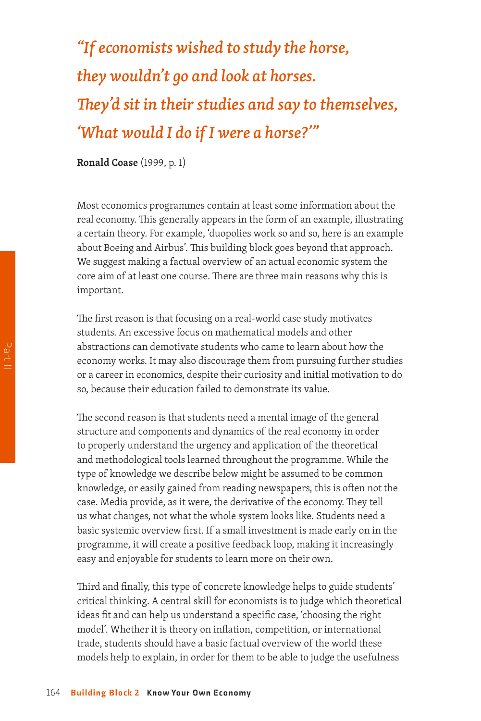# *"If economists wished to study the horse, they wouldn't go and look at horses. They'd sit in their studies and say to themselves, 'What would I do if I were a horse?'"*

**Ronald Coase** (1999, p. 1)

Most economics programmes contain at least some information about the real economy. This generally appears in the form of an example, illustrating a certain theory. For example, 'duopolies work so and so, here is an example about Boeing and Airbus'. This building block goes beyond that approach. We suggest making a factual overview of an actual economic system the core aim of at least one course. There are three main reasons why this is important.

The first reason is that focusing on a real-world case study motivates students. An excessive focus on mathematical models and other abstractions can demotivate students who came to learn about how the economy works. It may also discourage them from pursuing further studies or a career in economics, despite their curiosity and initial motivation to do so, because their education failed to demonstrate its value.

The second reason is that students need a mental image of the general structure and components and dynamics of the real economy in order to properly understand the urgency and application of the theoretical and methodological tools learned throughout the programme. While the type of knowledge we describe below might be assumed to be common knowledge, or easily gained from reading newspapers, this is often not the case. Media provide, as it were, the derivative of the economy. They tell us what changes, not what the whole system looks like. Students need a basic systemic overview first. If a small investment is made early on in the programme, it will create a positive feedback loop, making it increasingly easy and enjoyable for students to learn more on their own.

Third and finally, this type of concrete knowledge helps to guide students' critical thinking. A central skill for economists is to judge which theoretical ideas fit and can help us understand a specific case, 'choosing the right model'. Whether it is theory on inflation, competition, or international trade, students should have a basic factual overview of the world these models help to explain, in order for them to be able to judge the usefulness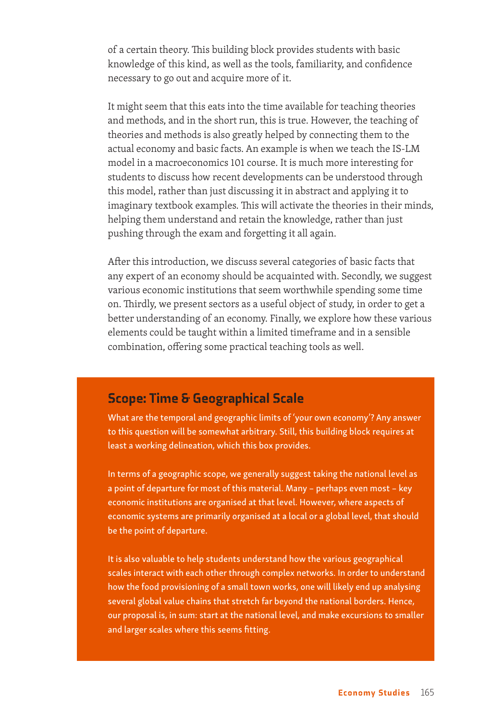of a certain theory. This building block provides students with basic knowledge of this kind, as well as the tools, familiarity, and confidence necessary to go out and acquire more of it.

It might seem that this eats into the time available for teaching theories and methods, and in the short run, this is true. However, the teaching of theories and methods is also greatly helped by connecting them to the actual economy and basic facts. An example is when we teach the IS-LM model in a macroeconomics 101 course. It is much more interesting for students to discuss how recent developments can be understood through this model, rather than just discussing it in abstract and applying it to imaginary textbook examples. This will activate the theories in their minds, helping them understand and retain the knowledge, rather than just pushing through the exam and forgetting it all again.

After this introduction, we discuss several categories of basic facts that any expert of an economy should be acquainted with. Secondly, we suggest various economic institutions that seem worthwhile spending some time on. Thirdly, we present sectors as a useful object of study, in order to get a better understanding of an economy. Finally, we explore how these various elements could be taught within a limited timeframe and in a sensible combination, offering some practical teaching tools as well.

#### Scope: Time & Geographical Scale

What are the temporal and geographic limits of 'your own economy'? Any answer to this question will be somewhat arbitrary. Still, this building block requires at least a working delineation, which this box provides.

In terms of a geographic scope, we generally suggest taking the national level as a point of departure for most of this material. Many – perhaps even most – key economic institutions are organised at that level. However, where aspects of economic systems are primarily organised at a local or a global level, that should be the point of departure.

It is also valuable to help students understand how the various geographical scales interact with each other through complex networks. In order to understand how the food provisioning of a small town works, one will likely end up analysing several global value chains that stretch far beyond the national borders. Hence, our proposal is, in sum: start at the national level, and make excursions to smaller and larger scales where this seems fitting.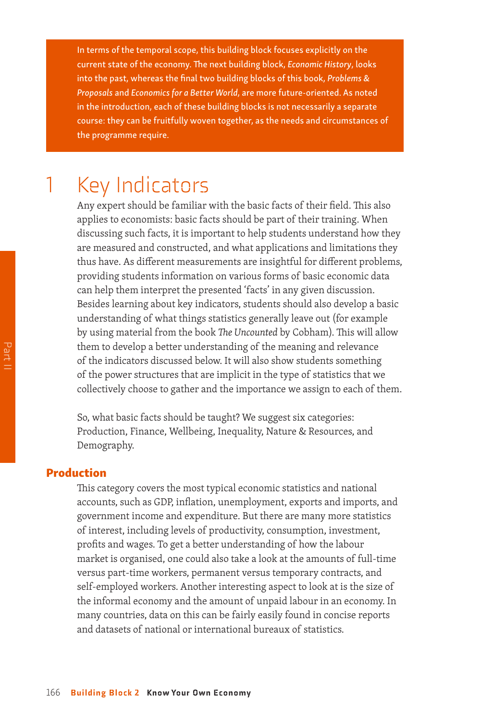In terms of the temporal scope, this building block focuses explicitly on the current state of the economy. The next building block, *Economic History*, looks into the past, whereas the final two building blocks of this book, *Problems & Proposals* and *Economics for a Better World*, are more future-oriented. As noted in the introduction, each of these building blocks is not necessarily a separate course: they can be fruitfully woven together, as the needs and circumstances of the programme require.

### **Key Indicators**

Any expert should be familiar with the basic facts of their field. This also applies to economists: basic facts should be part of their training. When discussing such facts, it is important to help students understand how they are measured and constructed, and what applications and limitations they thus have. As different measurements are insightful for different problems, providing students information on various forms of basic economic data can help them interpret the presented 'facts' in any given discussion. Besides learning about key indicators, students should also develop a basic understanding of what things statistics generally leave out (for example by using material from the book *The Uncounted* by Cobham). This will allow them to develop a better understanding of the meaning and relevance of the indicators discussed below. It will also show students something of the power structures that are implicit in the type of statistics that we collectively choose to gather and the importance we assign to each of them.

So, what basic facts should be taught? We suggest six categories: Production, Finance, Wellbeing, Inequality, Nature & Resources, and Demography.

#### Production

This category covers the most typical economic statistics and national accounts, such as GDP, inflation, unemployment, exports and imports, and government income and expenditure. But there are many more statistics of interest, including levels of productivity, consumption, investment, profits and wages. To get a better understanding of how the labour market is organised, one could also take a look at the amounts of full-time versus part-time workers, permanent versus temporary contracts, and self-employed workers. Another interesting aspect to look at is the size of the informal economy and the amount of unpaid labour in an economy. In many countries, data on this can be fairly easily found in concise reports and datasets of national or international bureaux of statistics.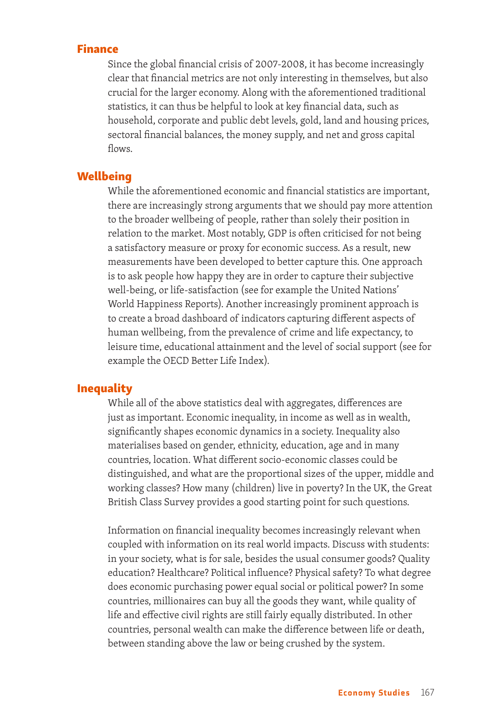#### Finance

Since the global financial crisis of 2007-2008, it has become increasingly clear that financial metrics are not only interesting in themselves, but also crucial for the larger economy. Along with the aforementioned traditional statistics, it can thus be helpful to look at key financial data, such as household, corporate and public debt levels, gold, land and housing prices, sectoral financial balances, the money supply, and net and gross capital flows.

#### **Wellbeing**

While the aforementioned economic and financial statistics are important, there are increasingly strong arguments that we should pay more attention to the broader wellbeing of people, rather than solely their position in relation to the market. Most notably, GDP is often criticised for not being a satisfactory measure or proxy for economic success. As a result, new measurements have been developed to better capture this. One approach is to ask people how happy they are in order to capture their subjective well-being, or life-satisfaction (see for example the United Nations' World Happiness Reports). Another increasingly prominent approach is to create a broad dashboard of indicators capturing different aspects of human wellbeing, from the prevalence of crime and life expectancy, to leisure time, educational attainment and the level of social support (see for example the OECD Better Life Index).

#### Inequality

While all of the above statistics deal with aggregates, differences are just as important. Economic inequality, in income as well as in wealth, significantly shapes economic dynamics in a society. Inequality also materialises based on gender, ethnicity, education, age and in many countries, location. What different socio-economic classes could be distinguished, and what are the proportional sizes of the upper, middle and working classes? How many (children) live in poverty? In the UK, the Great British Class Survey provides a good starting point for such questions.

Information on financial inequality becomes increasingly relevant when coupled with information on its real world impacts. Discuss with students: in your society, what is for sale, besides the usual consumer goods? Quality education? Healthcare? Political influence? Physical safety? To what degree does economic purchasing power equal social or political power? In some countries, millionaires can buy all the goods they want, while quality of life and effective civil rights are still fairly equally distributed. In other countries, personal wealth can make the difference between life or death, between standing above the law or being crushed by the system.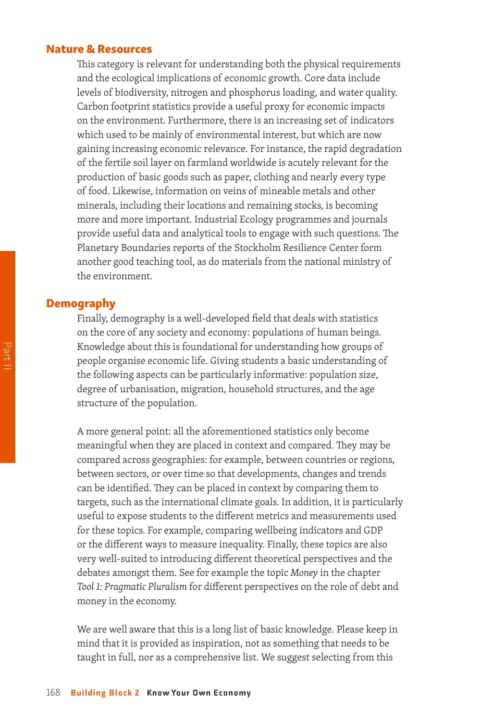#### Nature & Resources

This category is relevant for understanding both the physical requirements and the ecological implications of economic growth. Core data include levels of biodiversity, nitrogen and phosphorus loading, and water quality. Carbon footprint statistics provide a useful proxy for economic impacts on the environment. Furthermore, there is an increasing set of indicators which used to be mainly of environmental interest, but which are now gaining increasing economic relevance. For instance, the rapid degradation of the fertile soil layer on farmland worldwide is acutely relevant for the production of basic goods such as paper, clothing and nearly every type of food. Likewise, information on veins of mineable metals and other minerals, including their locations and remaining stocks, is becoming more and more important. Industrial Ecology programmes and journals provide useful data and analytical tools to engage with such questions. The Planetary Boundaries reports of the Stockholm Resilience Center form another good teaching tool, as do materials from the national ministry of the environment.

#### Demography

Finally, demography is a well-developed field that deals with statistics on the core of any society and economy: populations of human beings. Knowledge about this is foundational for understanding how groups of people organise economic life. Giving students a basic understanding of the following aspects can be particularly informative: population size, degree of urbanisation, migration, household structures, and the age structure of the population.

A more general point: all the aforementioned statistics only become meaningful when they are placed in context and compared. They may be compared across geographies: for example, between countries or regions, between sectors, or over time so that developments, changes and trends can be identified. They can be placed in context by comparing them to targets, such as the international climate goals. In addition, it is particularly useful to expose students to the different metrics and measurements used for these topics. For example, comparing wellbeing indicators and GDP or the different ways to measure inequality. Finally, these topics are also very well-suited to introducing different theoretical perspectives and the debates amongst them. See for example the topic *Money* in the chapter *Tool 1: Pragmatic Pluralism* for different perspectives on the role of debt and money in the economy.

We are well aware that this is a long list of basic knowledge. Please keep in mind that it is provided as inspiration, not as something that needs to be taught in full, nor as a comprehensive list. We suggest selecting from this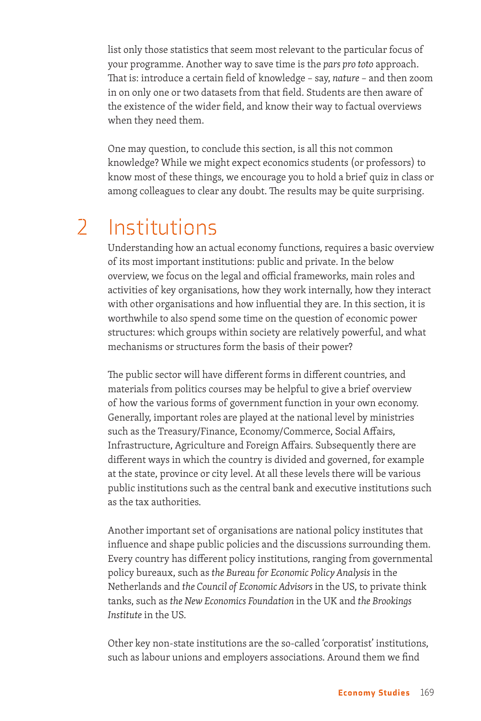list only those statistics that seem most relevant to the particular focus of your programme. Another way to save time is the *pars pro toto* approach. That is: introduce a certain field of knowledge – say, *nature* – and then zoom in on only one or two datasets from that field. Students are then aware of the existence of the wider field, and know their way to factual overviews when they need them.

One may question, to conclude this section, is all this not common knowledge? While we might expect economics students (or professors) to know most of these things, we encourage you to hold a brief quiz in class or among colleagues to clear any doubt. The results may be quite surprising.

# 2 Institutions

Understanding how an actual economy functions, requires a basic overview of its most important institutions: public and private. In the below overview, we focus on the legal and official frameworks, main roles and activities of key organisations, how they work internally, how they interact with other organisations and how influential they are. In this section, it is worthwhile to also spend some time on the question of economic power structures: which groups within society are relatively powerful, and what mechanisms or structures form the basis of their power?

The public sector will have different forms in different countries, and materials from politics courses may be helpful to give a brief overview of how the various forms of government function in your own economy. Generally, important roles are played at the national level by ministries such as the Treasury/Finance, Economy/Commerce, Social Affairs, Infrastructure, Agriculture and Foreign Affairs. Subsequently there are different ways in which the country is divided and governed, for example at the state, province or city level. At all these levels there will be various public institutions such as the central bank and executive institutions such as the tax authorities.

Another important set of organisations are national policy institutes that influence and shape public policies and the discussions surrounding them. Every country has different policy institutions, ranging from governmental policy bureaux, such as *the Bureau for Economic Policy Analysis* in the Netherlands and *the Council of Economic Advisors* in the US, to private think tanks, such as *the New Economics Foundation* in the UK and *the Brookings Institute* in the US.

Other key non-state institutions are the so-called 'corporatist' institutions, such as labour unions and employers associations. Around them we find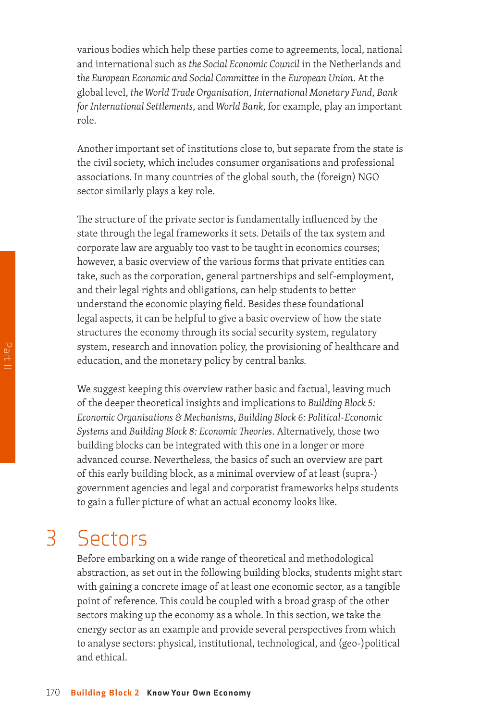various bodies which help these parties come to agreements, local, national and international such as *the Social Economic Council* in the Netherlands and *the European Economic and Social Committee* in the *European Union*. At the global level, *the World Trade Organisation*, *International Monetary Fund*, *Bank for International Settlements*, and *World Bank*, for example, play an important role.

Another important set of institutions close to, but separate from the state is the civil society, which includes consumer organisations and professional associations. In many countries of the global south, the (foreign) NGO sector similarly plays a key role.

The structure of the private sector is fundamentally influenced by the state through the legal frameworks it sets. Details of the tax system and corporate law are arguably too vast to be taught in economics courses; however, a basic overview of the various forms that private entities can take, such as the corporation, general partnerships and self-employment, and their legal rights and obligations, can help students to better understand the economic playing field. Besides these foundational legal aspects, it can be helpful to give a basic overview of how the state structures the economy through its social security system, regulatory system, research and innovation policy, the provisioning of healthcare and education, and the monetary policy by central banks.

We suggest keeping this overview rather basic and factual, leaving much of the deeper theoretical insights and implications to *Building Block 5: Economic Organisations & Mechanisms*, *Building Block 6: Political-Economic Systems* and *Building Block 8: Economic Theories*. Alternatively, those two building blocks can be integrated with this one in a longer or more advanced course. Nevertheless, the basics of such an overview are part of this early building block, as a minimal overview of at least (supra-) government agencies and legal and corporatist frameworks helps students to gain a fuller picture of what an actual economy looks like.

### 3 Sectors

Before embarking on a wide range of theoretical and methodological abstraction, as set out in the following building blocks, students might start with gaining a concrete image of at least one economic sector, as a tangible point of reference. This could be coupled with a broad grasp of the other sectors making up the economy as a whole. In this section, we take the energy sector as an example and provide several perspectives from which to analyse sectors: physical, institutional, technological, and (geo-)political and ethical.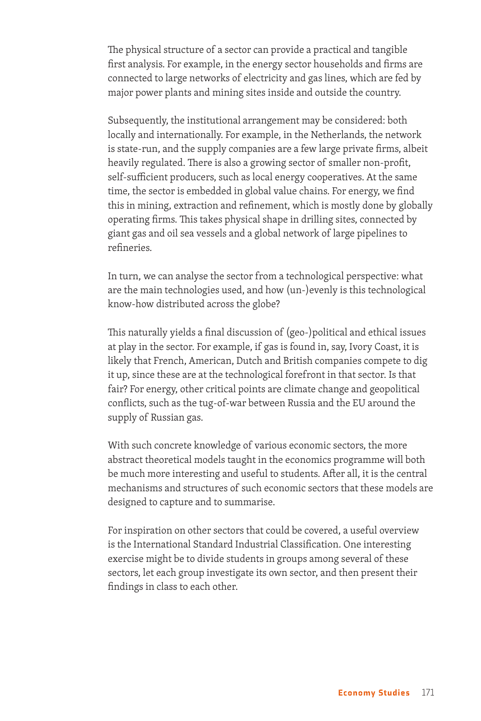The physical structure of a sector can provide a practical and tangible first analysis. For example, in the energy sector households and firms are connected to large networks of electricity and gas lines, which are fed by major power plants and mining sites inside and outside the country.

Subsequently, the institutional arrangement may be considered: both locally and internationally. For example, in the Netherlands, the network is state-run, and the supply companies are a few large private firms, albeit heavily regulated. There is also a growing sector of smaller non-profit, self-sufficient producers, such as local energy cooperatives. At the same time, the sector is embedded in global value chains. For energy, we find this in mining, extraction and refinement, which is mostly done by globally operating firms. This takes physical shape in drilling sites, connected by giant gas and oil sea vessels and a global network of large pipelines to refineries.

In turn, we can analyse the sector from a technological perspective: what are the main technologies used, and how (un-)evenly is this technological know-how distributed across the globe?

This naturally yields a final discussion of (geo-)political and ethical issues at play in the sector. For example, if gas is found in, say, Ivory Coast, it is likely that French, American, Dutch and British companies compete to dig it up, since these are at the technological forefront in that sector. Is that fair? For energy, other critical points are climate change and geopolitical conflicts, such as the tug-of-war between Russia and the EU around the supply of Russian gas.

With such concrete knowledge of various economic sectors, the more abstract theoretical models taught in the economics programme will both be much more interesting and useful to students. After all, it is the central mechanisms and structures of such economic sectors that these models are designed to capture and to summarise.

For inspiration on other sectors that could be covered, a useful overview is the International Standard Industrial Classification. One interesting exercise might be to divide students in groups among several of these sectors, let each group investigate its own sector, and then present their findings in class to each other.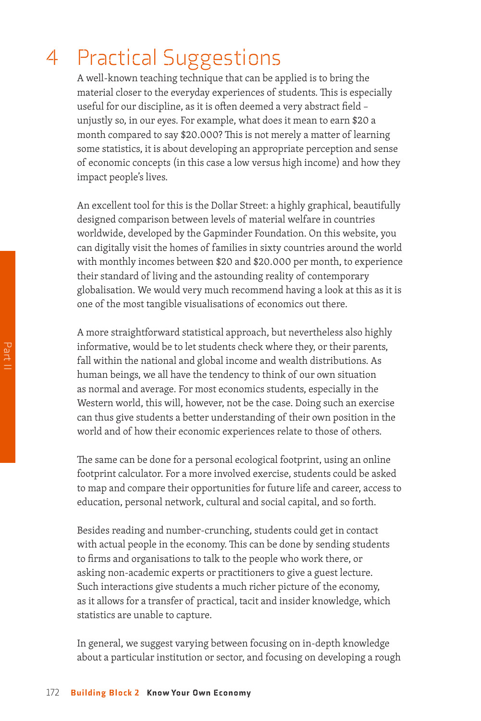# 4 Practical Suggestions

A well-known teaching technique that can be applied is to bring the material closer to the everyday experiences of students. This is especially useful for our discipline, as it is often deemed a very abstract field – unjustly so, in our eyes. For example, what does it mean to earn \$20 a month compared to say \$20.000? This is not merely a matter of learning some statistics, it is about developing an appropriate perception and sense of economic concepts (in this case a low versus high income) and how they impact people's lives.

An excellent tool for this is the Dollar Street: a highly graphical, beautifully designed comparison between levels of material welfare in countries worldwide, developed by the Gapminder Foundation. On this website, you can digitally visit the homes of families in sixty countries around the world with monthly incomes between \$20 and \$20.000 per month, to experience their standard of living and the astounding reality of contemporary globalisation. We would very much recommend having a look at this as it is one of the most tangible visualisations of economics out there.

A more straightforward statistical approach, but nevertheless also highly informative, would be to let students check where they, or their parents, fall within the national and global income and wealth distributions. As human beings, we all have the tendency to think of our own situation as normal and average. For most economics students, especially in the Western world, this will, however, not be the case. Doing such an exercise can thus give students a better understanding of their own position in the world and of how their economic experiences relate to those of others.

The same can be done for a personal ecological footprint, using an online footprint calculator. For a more involved exercise, students could be asked to map and compare their opportunities for future life and career, access to education, personal network, cultural and social capital, and so forth.

Besides reading and number-crunching, students could get in contact with actual people in the economy. This can be done by sending students to firms and organisations to talk to the people who work there, or asking non-academic experts or practitioners to give a guest lecture. Such interactions give students a much richer picture of the economy, as it allows for a transfer of practical, tacit and insider knowledge, which statistics are unable to capture.

In general, we suggest varying between focusing on in-depth knowledge about a particular institution or sector, and focusing on developing a rough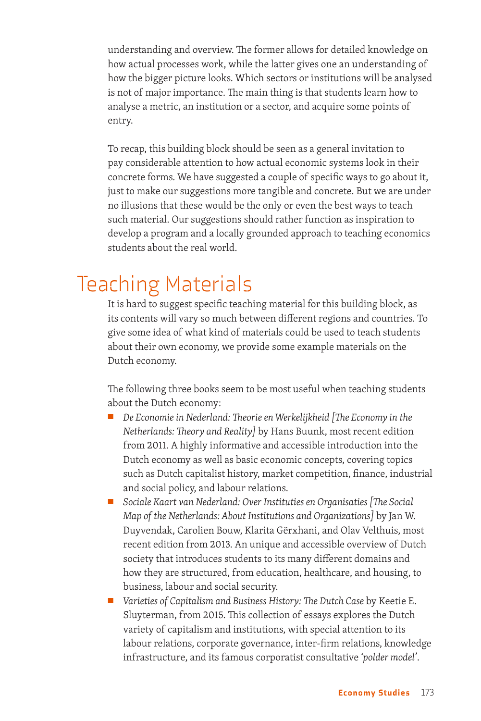understanding and overview. The former allows for detailed knowledge on how actual processes work, while the latter gives one an understanding of how the bigger picture looks. Which sectors or institutions will be analysed is not of major importance. The main thing is that students learn how to analyse a metric, an institution or a sector, and acquire some points of entry.

To recap, this building block should be seen as a general invitation to pay considerable attention to how actual economic systems look in their concrete forms. We have suggested a couple of specific ways to go about it, just to make our suggestions more tangible and concrete. But we are under no illusions that these would be the only or even the best ways to teach such material. Our suggestions should rather function as inspiration to develop a program and a locally grounded approach to teaching economics students about the real world.

# Teaching Materials

It is hard to suggest specific teaching material for this building block, as its contents will vary so much between different regions and countries. To give some idea of what kind of materials could be used to teach students about their own economy, we provide some example materials on the Dutch economy.

The following three books seem to be most useful when teaching students about the Dutch economy:

- *De Economie in Nederland: Theorie en Werkelijkheid [The Economy in the Netherlands: Theory and Reality]* by Hans Buunk, most recent edition from 2011. A highly informative and accessible introduction into the Dutch economy as well as basic economic concepts, covering topics such as Dutch capitalist history, market competition, finance, industrial and social policy, and labour relations.
- *Sociale Kaart van Nederland: Over Instituties en Organisaties [The Social Map of the Netherlands: About Institutions and Organizations]* by Jan W. Duyvendak, Carolien Bouw, Klarita Gërxhani, and Olav Velthuis, most recent edition from 2013. An unique and accessible overview of Dutch society that introduces students to its many different domains and how they are structured, from education, healthcare, and housing, to business, labour and social security.
- *Varieties of Capitalism and Business History: The Dutch Case* by Keetie E. Sluyterman, from 2015. This collection of essays explores the Dutch variety of capitalism and institutions, with special attention to its labour relations, corporate governance, inter-firm relations, knowledge infrastructure, and its famous corporatist consultative *'polder model'*.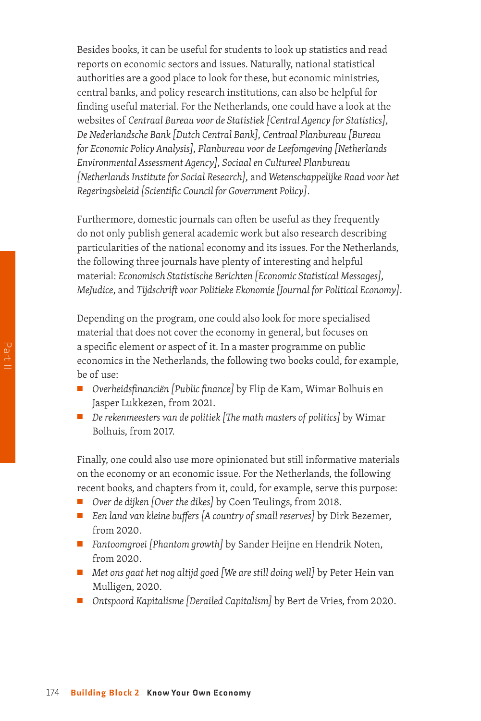Besides books, it can be useful for students to look up statistics and read reports on economic sectors and issues. Naturally, national statistical authorities are a good place to look for these, but economic ministries, central banks, and policy research institutions, can also be helpful for finding useful material. For the Netherlands, one could have a look at the websites of *Centraal Bureau voor de Statistiek [Central Agency for Statistics], De Nederlandsche Bank [Dutch Central Bank], Centraal Planbureau [Bureau for Economic Policy Analysis], Planbureau voor de Leefomgeving [Netherlands Environmental Assessment Agency], Sociaal en Cultureel Planbureau [Netherlands Institute for Social Research],* and *Wetenschappelijke Raad voor het Regeringsbeleid [Scientific Council for Government Policy]*.

Furthermore, domestic journals can often be useful as they frequently do not only publish general academic work but also research describing particularities of the national economy and its issues. For the Netherlands, the following three journals have plenty of interesting and helpful material: *Economisch Statistische Berichten [Economic Statistical Messages], MeJudice*, and *Tijdschrift voor Politieke Ekonomie [Journal for Political Economy]*.

Depending on the program, one could also look for more specialised material that does not cover the economy in general, but focuses on a specific element or aspect of it. In a master programme on public economics in the Netherlands, the following two books could, for example, be of use:

- *Overheidsfinanciën [Public finance]* by Flip de Kam, Wimar Bolhuis en Jasper Lukkezen, from 2021.
- *De rekenmeesters van de politiek [The math masters of politics]* by Wimar Bolhuis, from 2017.

Finally, one could also use more opinionated but still informative materials on the economy or an economic issue. For the Netherlands, the following recent books, and chapters from it, could, for example, serve this purpose:

- *Over de dijken [Over the dikes]* by Coen Teulings, from 2018.
- *Een land van kleine buffers [A country of small reserves]* by Dirk Bezemer, from 2020.
- *Fantoomgroei* [Phantom growth] by Sander Heijne en Hendrik Noten, from 2020.
- *Met ons gaat het nog altijd goed [We are still doing well]* by Peter Hein van Mulligen, 2020.
- *Ontspoord Kapitalisme [Derailed Capitalism]* by Bert de Vries, from 2020.